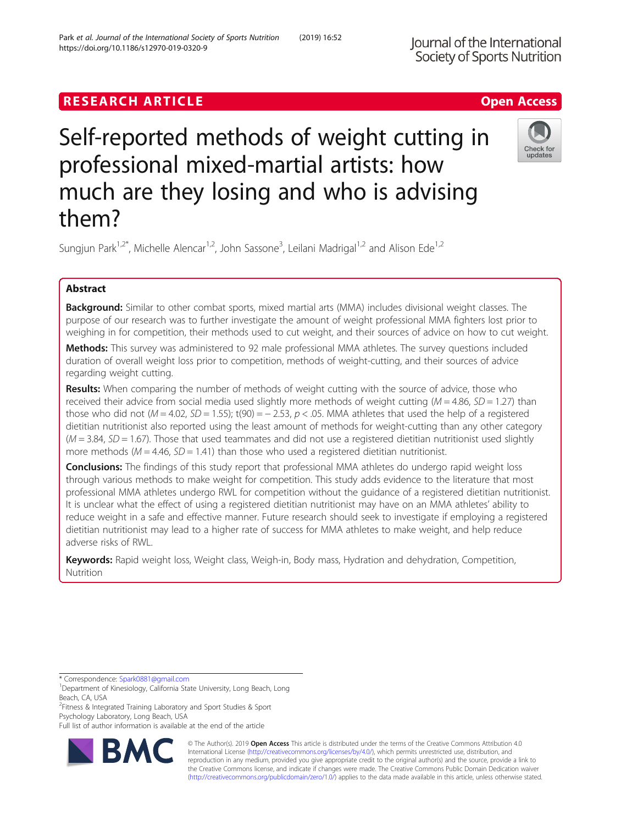# **RESEARCH ARTICLE Example 2018 12:30 The Contract of Contract ACCESS**

# professional mixed-martial artists: how much are they losing and who is advising them?

Self-reported methods of weight cutting in

Sungjun Park<sup>1,2\*</sup>, Michelle Alencar<sup>1,2</sup>, John Sassone<sup>3</sup>, Leilani Madrigal<sup>1,2</sup> and Alison Ede<sup>1,2</sup>

## Abstract

Background: Similar to other combat sports, mixed martial arts (MMA) includes divisional weight classes. The purpose of our research was to further investigate the amount of weight professional MMA fighters lost prior to weighing in for competition, their methods used to cut weight, and their sources of advice on how to cut weight.

Methods: This survey was administered to 92 male professional MMA athletes. The survey questions included duration of overall weight loss prior to competition, methods of weight-cutting, and their sources of advice regarding weight cutting.

Results: When comparing the number of methods of weight cutting with the source of advice, those who received their advice from social media used slightly more methods of weight cutting ( $M = 4.86$ ,  $SD = 1.27$ ) than those who did not ( $M = 4.02$ ,  $SD = 1.55$ ); t(90) = -2.53, p < .05. MMA athletes that used the help of a registered dietitian nutritionist also reported using the least amount of methods for weight-cutting than any other category  $(M = 3.84, SD = 1.67)$ . Those that used teammates and did not use a registered dietitian nutritionist used slightly more methods ( $M = 4.46$ ,  $SD = 1.41$ ) than those who used a registered dietitian nutritionist.

**Conclusions:** The findings of this study report that professional MMA athletes do undergo rapid weight loss through various methods to make weight for competition. This study adds evidence to the literature that most professional MMA athletes undergo RWL for competition without the guidance of a registered dietitian nutritionist. It is unclear what the effect of using a registered dietitian nutritionist may have on an MMA athletes' ability to reduce weight in a safe and effective manner. Future research should seek to investigate if employing a registered dietitian nutritionist may lead to a higher rate of success for MMA athletes to make weight, and help reduce adverse risks of RWL.

Keywords: Rapid weight loss, Weight class, Weigh-in, Body mass, Hydration and dehydration, Competition, Nutrition

\* Correspondence: [Spark0881@gmail.com](mailto:Spark0881@gmail.com) <sup>1</sup>

<sup>1</sup>Department of Kinesiology, California State University, Long Beach, Long Beach, CA, USA

<sup>2</sup> Fitness & Integrated Training Laboratory and Sport Studies & Sport Psychology Laboratory, Long Beach, USA

Full list of author information is available at the end of the article







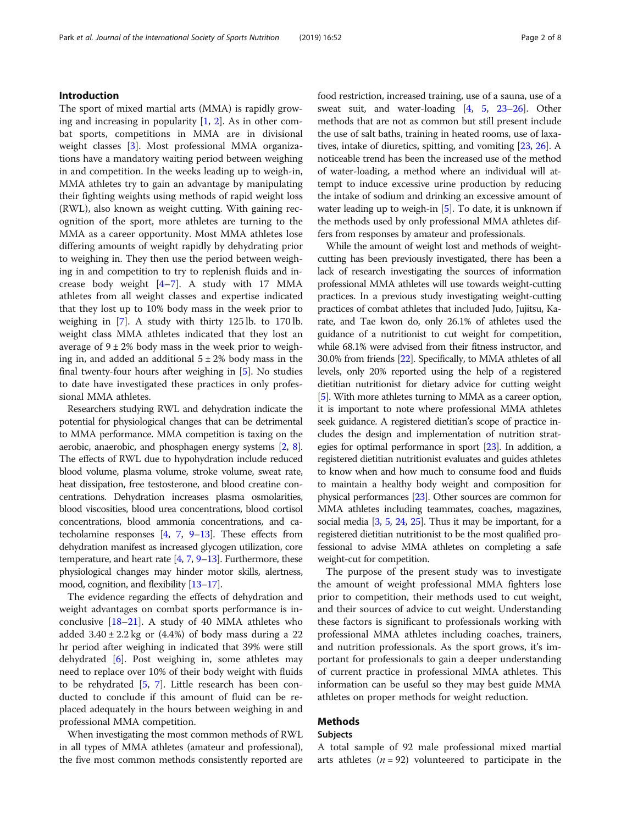## Introduction

The sport of mixed martial arts (MMA) is rapidly growing and increasing in popularity  $[1, 2]$  $[1, 2]$  $[1, 2]$  $[1, 2]$ . As in other combat sports, competitions in MMA are in divisional weight classes [[3\]](#page-7-0). Most professional MMA organizations have a mandatory waiting period between weighing in and competition. In the weeks leading up to weigh-in, MMA athletes try to gain an advantage by manipulating their fighting weights using methods of rapid weight loss (RWL), also known as weight cutting. With gaining recognition of the sport, more athletes are turning to the MMA as a career opportunity. Most MMA athletes lose differing amounts of weight rapidly by dehydrating prior to weighing in. They then use the period between weighing in and competition to try to replenish fluids and increase body weight [[4](#page-7-0)–[7](#page-7-0)]. A study with 17 MMA athletes from all weight classes and expertise indicated that they lost up to 10% body mass in the week prior to weighing in [[7](#page-7-0)]. A study with thirty 125 lb. to 170 lb. weight class MMA athletes indicated that they lost an average of  $9 \pm 2\%$  body mass in the week prior to weighing in, and added an additional  $5 \pm 2\%$  body mass in the final twenty-four hours after weighing in [[5](#page-7-0)]. No studies to date have investigated these practices in only professional MMA athletes.

Researchers studying RWL and dehydration indicate the potential for physiological changes that can be detrimental to MMA performance. MMA competition is taxing on the aerobic, anaerobic, and phosphagen energy systems [\[2,](#page-7-0) [8](#page-7-0)]. The effects of RWL due to hypohydration include reduced blood volume, plasma volume, stroke volume, sweat rate, heat dissipation, free testosterone, and blood creatine concentrations. Dehydration increases plasma osmolarities, blood viscosities, blood urea concentrations, blood cortisol concentrations, blood ammonia concentrations, and catecholamine responses [[4](#page-7-0), [7,](#page-7-0) [9](#page-7-0)–[13](#page-7-0)]. These effects from dehydration manifest as increased glycogen utilization, core temperature, and heart rate  $[4, 7, 9-13]$  $[4, 7, 9-13]$  $[4, 7, 9-13]$  $[4, 7, 9-13]$  $[4, 7, 9-13]$  $[4, 7, 9-13]$  $[4, 7, 9-13]$  $[4, 7, 9-13]$  $[4, 7, 9-13]$ . Furthermore, these physiological changes may hinder motor skills, alertness, mood, cognition, and flexibility [[13](#page-7-0)–[17](#page-7-0)].

The evidence regarding the effects of dehydration and weight advantages on combat sports performance is inconclusive  $[18-21]$  $[18-21]$  $[18-21]$  $[18-21]$  $[18-21]$ . A study of 40 MMA athletes who added  $3.40 \pm 2.2$  kg or  $(4.4%)$  of body mass during a 22 hr period after weighing in indicated that 39% were still dehydrated [\[6](#page-7-0)]. Post weighing in, some athletes may need to replace over 10% of their body weight with fluids to be rehydrated [[5](#page-7-0), [7](#page-7-0)]. Little research has been conducted to conclude if this amount of fluid can be replaced adequately in the hours between weighing in and professional MMA competition.

When investigating the most common methods of RWL in all types of MMA athletes (amateur and professional), the five most common methods consistently reported are food restriction, increased training, use of a sauna, use of a sweat suit, and water-loading  $[4, 5, 23-26]$  $[4, 5, 23-26]$  $[4, 5, 23-26]$  $[4, 5, 23-26]$  $[4, 5, 23-26]$  $[4, 5, 23-26]$  $[4, 5, 23-26]$ . Other methods that are not as common but still present include the use of salt baths, training in heated rooms, use of laxatives, intake of diuretics, spitting, and vomiting [\[23,](#page-7-0) [26\]](#page-7-0). A noticeable trend has been the increased use of the method of water-loading, a method where an individual will attempt to induce excessive urine production by reducing the intake of sodium and drinking an excessive amount of water leading up to weigh-in  $[5]$ . To date, it is unknown if the methods used by only professional MMA athletes differs from responses by amateur and professionals.

While the amount of weight lost and methods of weightcutting has been previously investigated, there has been a lack of research investigating the sources of information professional MMA athletes will use towards weight-cutting practices. In a previous study investigating weight-cutting practices of combat athletes that included Judo, Jujitsu, Karate, and Tae kwon do, only 26.1% of athletes used the guidance of a nutritionist to cut weight for competition, while 68.1% were advised from their fitness instructor, and 30.0% from friends [\[22\]](#page-7-0). Specifically, to MMA athletes of all levels, only 20% reported using the help of a registered dietitian nutritionist for dietary advice for cutting weight [[5](#page-7-0)]. With more athletes turning to MMA as a career option, it is important to note where professional MMA athletes seek guidance. A registered dietitian's scope of practice includes the design and implementation of nutrition strategies for optimal performance in sport [[23\]](#page-7-0). In addition, a registered dietitian nutritionist evaluates and guides athletes to know when and how much to consume food and fluids to maintain a healthy body weight and composition for physical performances [\[23\]](#page-7-0). Other sources are common for MMA athletes including teammates, coaches, magazines, social media  $\left[3, 5, 24, 25\right]$  $\left[3, 5, 24, 25\right]$  $\left[3, 5, 24, 25\right]$  $\left[3, 5, 24, 25\right]$  $\left[3, 5, 24, 25\right]$  $\left[3, 5, 24, 25\right]$  $\left[3, 5, 24, 25\right]$  $\left[3, 5, 24, 25\right]$  $\left[3, 5, 24, 25\right]$ . Thus it may be important, for a registered dietitian nutritionist to be the most qualified professional to advise MMA athletes on completing a safe weight-cut for competition.

The purpose of the present study was to investigate the amount of weight professional MMA fighters lose prior to competition, their methods used to cut weight, and their sources of advice to cut weight. Understanding these factors is significant to professionals working with professional MMA athletes including coaches, trainers, and nutrition professionals. As the sport grows, it's important for professionals to gain a deeper understanding of current practice in professional MMA athletes. This information can be useful so they may best guide MMA athletes on proper methods for weight reduction.

## Methods

## Subjects

A total sample of 92 male professional mixed martial arts athletes  $(n = 92)$  volunteered to participate in the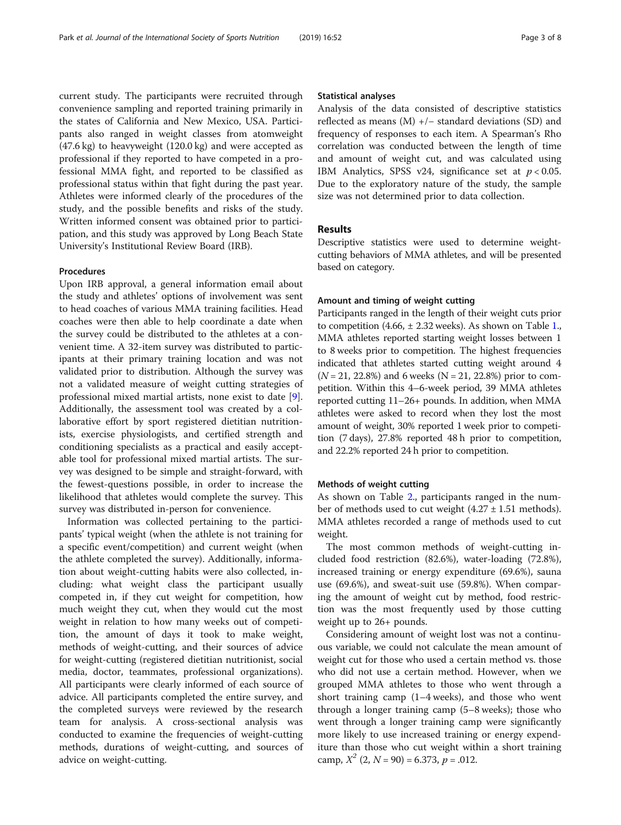current study. The participants were recruited through convenience sampling and reported training primarily in the states of California and New Mexico, USA. Participants also ranged in weight classes from atomweight (47.6 kg) to heavyweight (120.0 kg) and were accepted as professional if they reported to have competed in a professional MMA fight, and reported to be classified as professional status within that fight during the past year. Athletes were informed clearly of the procedures of the study, and the possible benefits and risks of the study. Written informed consent was obtained prior to participation, and this study was approved by Long Beach State University's Institutional Review Board (IRB).

## Procedures

Upon IRB approval, a general information email about the study and athletes' options of involvement was sent to head coaches of various MMA training facilities. Head coaches were then able to help coordinate a date when the survey could be distributed to the athletes at a convenient time. A 32-item survey was distributed to participants at their primary training location and was not validated prior to distribution. Although the survey was not a validated measure of weight cutting strategies of professional mixed martial artists, none exist to date [\[9](#page-7-0)]. Additionally, the assessment tool was created by a collaborative effort by sport registered dietitian nutritionists, exercise physiologists, and certified strength and conditioning specialists as a practical and easily acceptable tool for professional mixed martial artists. The survey was designed to be simple and straight-forward, with the fewest-questions possible, in order to increase the likelihood that athletes would complete the survey. This survey was distributed in-person for convenience.

Information was collected pertaining to the participants' typical weight (when the athlete is not training for a specific event/competition) and current weight (when the athlete completed the survey). Additionally, information about weight-cutting habits were also collected, including: what weight class the participant usually competed in, if they cut weight for competition, how much weight they cut, when they would cut the most weight in relation to how many weeks out of competition, the amount of days it took to make weight, methods of weight-cutting, and their sources of advice for weight-cutting (registered dietitian nutritionist, social media, doctor, teammates, professional organizations). All participants were clearly informed of each source of advice. All participants completed the entire survey, and the completed surveys were reviewed by the research team for analysis. A cross-sectional analysis was conducted to examine the frequencies of weight-cutting methods, durations of weight-cutting, and sources of advice on weight-cutting.

## Statistical analyses

Analysis of the data consisted of descriptive statistics reflected as means (M) +/− standard deviations (SD) and frequency of responses to each item. A Spearman's Rho correlation was conducted between the length of time and amount of weight cut, and was calculated using IBM Analytics, SPSS v24, significance set at  $p < 0.05$ . Due to the exploratory nature of the study, the sample size was not determined prior to data collection.

## Results

Descriptive statistics were used to determine weightcutting behaviors of MMA athletes, and will be presented based on category.

## Amount and timing of weight cutting

Participants ranged in the length of their weight cuts prior to competition  $(4.66, \pm 2.32 \,\text{weeks})$ . As shown on Table [1](#page-3-0)., MMA athletes reported starting weight losses between 1 to 8 weeks prior to competition. The highest frequencies indicated that athletes started cutting weight around 4  $(N = 21, 22.8%)$  and 6 weeks (N = 21, 22.8%) prior to competition. Within this 4–6-week period, 39 MMA athletes reported cutting 11–26+ pounds. In addition, when MMA athletes were asked to record when they lost the most amount of weight, 30% reported 1 week prior to competition (7 days), 27.8% reported 48 h prior to competition, and 22.2% reported 24 h prior to competition.

## Methods of weight cutting

As shown on Table [2.](#page-3-0), participants ranged in the number of methods used to cut weight (4.27 ± 1.51 methods). MMA athletes recorded a range of methods used to cut weight.

The most common methods of weight-cutting included food restriction (82.6%), water-loading (72.8%), increased training or energy expenditure (69.6%), sauna use (69.6%), and sweat-suit use (59.8%). When comparing the amount of weight cut by method, food restriction was the most frequently used by those cutting weight up to 26+ pounds.

Considering amount of weight lost was not a continuous variable, we could not calculate the mean amount of weight cut for those who used a certain method vs. those who did not use a certain method. However, when we grouped MMA athletes to those who went through a short training camp (1–4 weeks), and those who went through a longer training camp (5–8 weeks); those who went through a longer training camp were significantly more likely to use increased training or energy expenditure than those who cut weight within a short training camp,  $X^2$  (2,  $N = 90$ ) = 6.373,  $p = .012$ .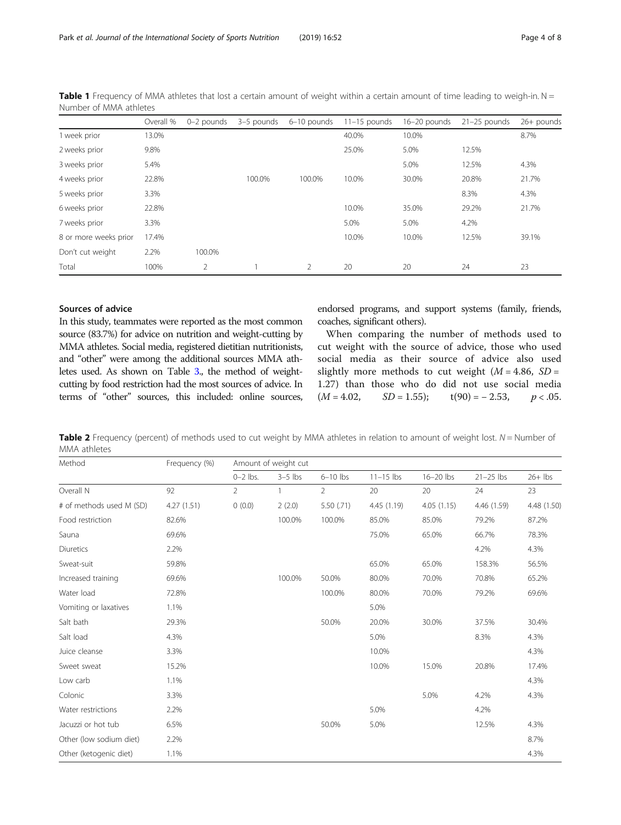|                       | Overall % | 0-2 pounds | 3-5 pounds | 6-10 pounds | $11-15$ pounds | 16-20 pounds | $21 - 25$ pounds | 26+ pounds |
|-----------------------|-----------|------------|------------|-------------|----------------|--------------|------------------|------------|
| 1 week prior          | 13.0%     |            |            |             | 40.0%          | 10.0%        |                  | 8.7%       |
| 2 weeks prior         | 9.8%      |            |            |             | 25.0%          | 5.0%         | 12.5%            |            |
| 3 weeks prior         | 5.4%      |            |            |             |                | 5.0%         | 12.5%            | 4.3%       |
| 4 weeks prior         | 22.8%     |            | 100.0%     | 100.0%      | 10.0%          | 30.0%        | 20.8%            | 21.7%      |
| 5 weeks prior         | 3.3%      |            |            |             |                |              | 8.3%             | 4.3%       |
| 6 weeks prior         | 22.8%     |            |            |             | 10.0%          | 35.0%        | 29.2%            | 21.7%      |
| 7 weeks prior         | 3.3%      |            |            |             | 5.0%           | 5.0%         | 4.2%             |            |
| 8 or more weeks prior | 17.4%     |            |            |             | 10.0%          | 10.0%        | 12.5%            | 39.1%      |
| Don't cut weight      | 2.2%      | 100.0%     |            |             |                |              |                  |            |
| Total                 | 100%      | 2          |            | 2           | 20             | 20           | 24               | 23         |

<span id="page-3-0"></span>Table 1 Frequency of MMA athletes that lost a certain amount of weight within a certain amount of time leading to weigh-in.  $N =$ Number of MMA athletes

## Sources of advice

In this study, teammates were reported as the most common source (83.7%) for advice on nutrition and weight-cutting by MMA athletes. Social media, registered dietitian nutritionists, and "other" were among the additional sources MMA athletes used. As shown on Table [3](#page-4-0)., the method of weightcutting by food restriction had the most sources of advice. In terms of "other" sources, this included: online sources,

endorsed programs, and support systems (family, friends, coaches, significant others).

When comparing the number of methods used to cut weight with the source of advice, those who used social media as their source of advice also used slightly more methods to cut weight  $(M = 4.86, SD =$ 1.27) than those who do did not use social media  $(M = 4.02, \qquad SD = 1.55);$   $t(90) = -2.53, \qquad p < .05.$ 

Table 2 Frequency (percent) of methods used to cut weight by MMA athletes in relation to amount of weight lost.  $N =$  Number of MMA athletes

| Method                   | Frequency (%) | Amount of weight cut |           |                |             |             |               |             |  |
|--------------------------|---------------|----------------------|-----------|----------------|-------------|-------------|---------------|-------------|--|
|                          |               | $0 - 2$ lbs.         | $3-5$ lbs | $6-10$ lbs     | $11-15$ lbs | $16-20$ lbs | $21 - 25$ lbs | $26+$ lbs   |  |
| Overall N                | 92            | $\overline{2}$       |           | $\overline{2}$ | 20          | 20          | 24            | 23          |  |
| # of methods used M (SD) | 4.27(1.51)    | 0(0.0)               | 2(2.0)    | 5.50 (.71)     | 4.45 (1.19) | 4.05(1.15)  | 4.46 (1.59)   | 4.48 (1.50) |  |
| Food restriction         | 82.6%         |                      | 100.0%    | 100.0%         | 85.0%       | 85.0%       | 79.2%         | 87.2%       |  |
| Sauna                    | 69.6%         |                      |           |                | 75.0%       | 65.0%       | 66.7%         | 78.3%       |  |
| Diuretics                | 2.2%          |                      |           |                |             |             | 4.2%          | 4.3%        |  |
| Sweat-suit               | 59.8%         |                      |           |                | 65.0%       | 65.0%       | 158.3%        | 56.5%       |  |
| Increased training       | 69.6%         |                      | 100.0%    | 50.0%          | 80.0%       | 70.0%       | 70.8%         | 65.2%       |  |
| Water load               | 72.8%         |                      |           | 100.0%         | 80.0%       | 70.0%       | 79.2%         | 69.6%       |  |
| Vomiting or laxatives    | 1.1%          |                      |           |                | 5.0%        |             |               |             |  |
| Salt bath                | 29.3%         |                      |           | 50.0%          | 20.0%       | 30.0%       | 37.5%         | 30.4%       |  |
| Salt load                | 4.3%          |                      |           |                | 5.0%        |             | 8.3%          | 4.3%        |  |
| Juice cleanse            | 3.3%          |                      |           |                | 10.0%       |             |               | 4.3%        |  |
| Sweet sweat              | 15.2%         |                      |           |                | 10.0%       | 15.0%       | 20.8%         | 17.4%       |  |
| Low carb                 | 1.1%          |                      |           |                |             |             |               | 4.3%        |  |
| Colonic                  | 3.3%          |                      |           |                |             | 5.0%        | 4.2%          | 4.3%        |  |
| Water restrictions       | 2.2%          |                      |           |                | 5.0%        |             | 4.2%          |             |  |
| Jacuzzi or hot tub       | 6.5%          |                      |           | 50.0%          | 5.0%        |             | 12.5%         | 4.3%        |  |
| Other (low sodium diet)  | 2.2%          |                      |           |                |             |             |               | 8.7%        |  |
| Other (ketogenic diet)   | 1.1%          |                      |           |                |             |             |               | 4.3%        |  |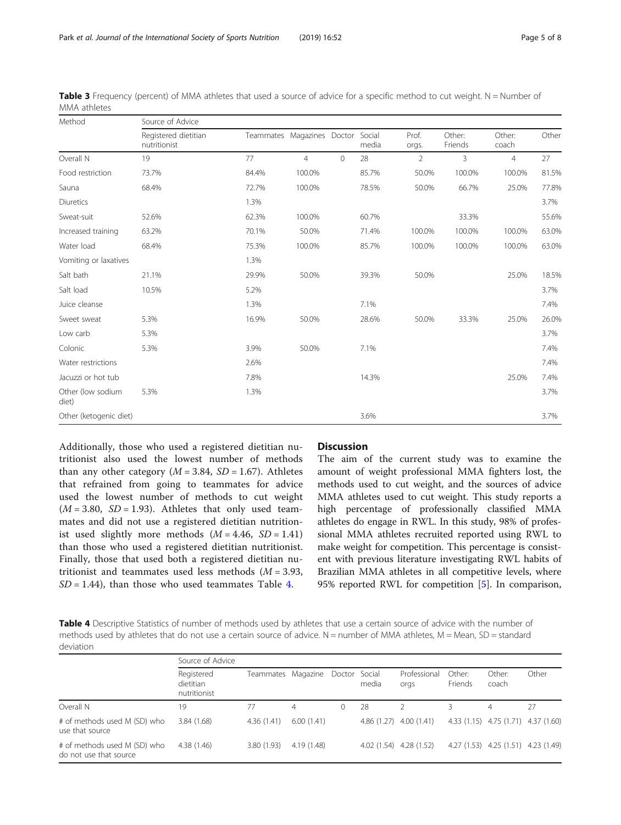Additionally, those who used a registered dietitian nutritionist also used the lowest number of methods than any other category  $(M = 3.84, SD = 1.67)$ . Athletes that refrained from going to teammates for advice used the lowest number of methods to cut weight  $(M = 3.80, SD = 1.93)$ . Athletes that only used teammates and did not use a registered dietitian nutritionist used slightly more methods  $(M = 4.46, SD = 1.41)$ than those who used a registered dietitian nutritionist. Finally, those that used both a registered dietitian nutritionist and teammates used less methods  $(M = 3.93,$  $SD = 1.44$ ), than those who used teammates Table 4.

as to examine the A fighters lost, the e sources of advice his study reports a classified MMA udy, 98% of profesrted using RWL to make weight for competition. This percentage is consistent with previous literature investigating RWL habits of Brazilian MMA athletes in all competitive levels, where 95% reported RWL for competition [[5\]](#page-7-0). In comparison,

Table 4 Descriptive Statistics of number of methods used by athletes that use a certain source of advice with the number of methods used by athletes that do not use a certain source of advice. N = number of MMA athletes,  $M = Mean$ ,  $SD = standard$ deviation

|                                                        | Source of Advice                        |                    |            |        |                           |                      |                   |                                     |       |
|--------------------------------------------------------|-----------------------------------------|--------------------|------------|--------|---------------------------|----------------------|-------------------|-------------------------------------|-------|
|                                                        | Registered<br>dietitian<br>nutritionist | Teammates Magazine |            | Doctor | Social<br>media           | Professional<br>orgs | Other:<br>Friends | Other:<br>coach                     | Other |
| Overall N                                              | 19                                      | 77                 | 4          |        | 28                        |                      |                   | 4                                   | 27    |
| # of methods used M (SD) who<br>use that source        | 3.84 (1.68)                             | 4.36(1.41)         | 6.00(1.41) |        | $4.86(1.27)$ $4.00(1.41)$ |                      |                   | 4.33 (1.15) 4.75 (1.71) 4.37 (1.60) |       |
| # of methods used M (SD) who<br>do not use that source | 4.38 (1.46)                             | 3.80 (1.93)        | 4.19(1.48) |        | 4.02 (1.54) 4.28 (1.52)   |                      |                   | 4.27 (1.53) 4.25 (1.51) 4.23 (1.49) |       |

## <span id="page-4-0"></span>Table 3 Frequency (percent) of MMA athletes that used a source of advice for a specific method to cut weight.  $N =$  Number of MMA athletes

Teammates Magazines Doctor Social

Overall N 19 77 4 0 28 2 3 4 27 Food restriction 73.7% 84.4% 100.0% 85.7% 50.0% 100.0% 100.0% 81.5% Sauna 68.4% 72.7% 100.0% 78.5% 50.0% 66.7% 25.0% 77.8%  $D$ iuretics  $1.3\%$   $1.3\%$ 

media

Prof. orgs. Other: Friends Other: coach

| Sweat-suit                 | 52.6% | 62.3%                                                                                                                                                                          | 100.0% | 60.7%                                                                                                                        |        | 33.3%  |        | 55.6% |
|----------------------------|-------|--------------------------------------------------------------------------------------------------------------------------------------------------------------------------------|--------|------------------------------------------------------------------------------------------------------------------------------|--------|--------|--------|-------|
| Increased training         | 63.2% | 70.1%                                                                                                                                                                          | 50.0%  | 71.4%                                                                                                                        | 100.0% | 100.0% | 100.0% | 63.0% |
| Water load                 | 68.4% | 75.3%                                                                                                                                                                          | 100.0% | 85.7%                                                                                                                        | 100.0% | 100.0% | 100.0% | 63.0% |
| Vomiting or laxatives      |       | 1.3%                                                                                                                                                                           |        |                                                                                                                              |        |        |        |       |
| Salt bath                  | 21.1% | 29.9%                                                                                                                                                                          | 50.0%  | 39.3%                                                                                                                        | 50.0%  |        | 25.0%  | 18.5% |
| Salt load                  | 10.5% | 5.2%                                                                                                                                                                           |        |                                                                                                                              |        |        |        | 3.7%  |
| Juice cleanse              |       | 1.3%                                                                                                                                                                           |        | 7.1%                                                                                                                         |        |        |        | 7.4%  |
| Sweet sweat                | 5.3%  | 16.9%                                                                                                                                                                          | 50.0%  | 28.6%                                                                                                                        | 50.0%  | 33.3%  | 25.0%  | 26.0% |
| Low carb                   | 5.3%  |                                                                                                                                                                                |        |                                                                                                                              |        |        |        | 3.7%  |
| Colonic                    | 5.3%  | 3.9%                                                                                                                                                                           | 50.0%  | 7.1%                                                                                                                         |        |        |        | 7.4%  |
| Water restrictions         |       | 2.6%                                                                                                                                                                           |        |                                                                                                                              |        |        |        | 7.4%  |
| Jacuzzi or hot tub         |       | 7.8%                                                                                                                                                                           |        | 14.3%                                                                                                                        |        |        | 25.0%  | 7.4%  |
| Other (low sodium<br>diet) | 5.3%  | 1.3%                                                                                                                                                                           |        |                                                                                                                              |        |        |        | 3.7%  |
| Other (ketogenic diet)     |       |                                                                                                                                                                                |        | 3.6%                                                                                                                         |        |        |        | 3.7%  |
|                            |       | Additionally, those who used a registered dietitian nu-<br>tritionist also used the lowest number of methods<br>than any other category ( $M = 3.84$ , $SD = 1.67$ ). Athletes |        | <b>Discussion</b><br>The aim of the current study was to examine the<br>amount of weight professional MMA fighters lost, the |        |        |        |       |
|                            |       | that refrained from going to teammates for advice                                                                                                                              |        | methods used to cut weight, and the sources of advice                                                                        |        |        |        |       |
|                            |       | used the lowest number of methods to cut weight                                                                                                                                |        | MMA athletes used to cut weight. This study reports a                                                                        |        |        |        |       |
|                            |       | $(M = 3.80, SD = 1.93)$ . Athletes that only used team-                                                                                                                        |        | high percentage of professionally classified MMA                                                                             |        |        |        |       |
|                            |       | mates and did not use a registered dietitian nutrition-                                                                                                                        |        | athletes do engage in RWL. In this study, 98% of profes-                                                                     |        |        |        |       |
|                            |       | ist used slightly more methods $(M = 4.46, SD = 1.41)$                                                                                                                         |        | sional MMA athletes recruited reported using RWL to                                                                          |        |        |        |       |

Registered dietitian nutritionist

Method Source of Advice

Other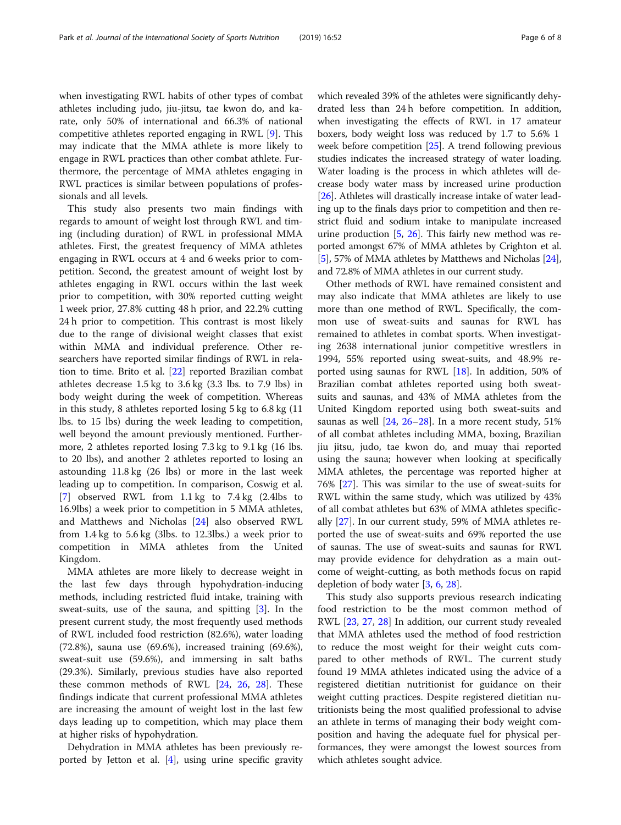when investigating RWL habits of other types of combat athletes including judo, jiu-jitsu, tae kwon do, and karate, only 50% of international and 66.3% of national competitive athletes reported engaging in RWL [[9\]](#page-7-0). This may indicate that the MMA athlete is more likely to engage in RWL practices than other combat athlete. Furthermore, the percentage of MMA athletes engaging in RWL practices is similar between populations of professionals and all levels.

This study also presents two main findings with regards to amount of weight lost through RWL and timing (including duration) of RWL in professional MMA athletes. First, the greatest frequency of MMA athletes engaging in RWL occurs at 4 and 6 weeks prior to competition. Second, the greatest amount of weight lost by athletes engaging in RWL occurs within the last week prior to competition, with 30% reported cutting weight 1 week prior, 27.8% cutting 48 h prior, and 22.2% cutting 24 h prior to competition. This contrast is most likely due to the range of divisional weight classes that exist within MMA and individual preference. Other researchers have reported similar findings of RWL in relation to time. Brito et al. [\[22\]](#page-7-0) reported Brazilian combat athletes decrease 1.5 kg to 3.6 kg (3.3 lbs. to 7.9 lbs) in body weight during the week of competition. Whereas in this study, 8 athletes reported losing 5 kg to 6.8 kg (11 lbs. to 15 lbs) during the week leading to competition, well beyond the amount previously mentioned. Furthermore, 2 athletes reported losing 7.3 kg to 9.1 kg (16 lbs. to 20 lbs), and another 2 athletes reported to losing an astounding 11.8 kg (26 lbs) or more in the last week leading up to competition. In comparison, Coswig et al. [[7\]](#page-7-0) observed RWL from 1.1 kg to 7.4 kg (2.4lbs to 16.9lbs) a week prior to competition in 5 MMA athletes, and Matthews and Nicholas [[24](#page-7-0)] also observed RWL from 1.4 kg to 5.6 kg (3lbs. to 12.3lbs.) a week prior to competition in MMA athletes from the United Kingdom.

MMA athletes are more likely to decrease weight in the last few days through hypohydration-inducing methods, including restricted fluid intake, training with sweat-suits, use of the sauna, and spitting  $[3]$  $[3]$ . In the present current study, the most frequently used methods of RWL included food restriction (82.6%), water loading (72.8%), sauna use (69.6%), increased training (69.6%), sweat-suit use (59.6%), and immersing in salt baths (29.3%). Similarly, previous studies have also reported these common methods of RWL [\[24,](#page-7-0) [26,](#page-7-0) [28](#page-7-0)]. These findings indicate that current professional MMA athletes are increasing the amount of weight lost in the last few days leading up to competition, which may place them at higher risks of hypohydration.

Dehydration in MMA athletes has been previously reported by Jetton et al. [\[4](#page-7-0)], using urine specific gravity which revealed 39% of the athletes were significantly dehydrated less than 24 h before competition. In addition, when investigating the effects of RWL in 17 amateur boxers, body weight loss was reduced by 1.7 to 5.6% 1 week before competition [\[25\]](#page-7-0). A trend following previous studies indicates the increased strategy of water loading. Water loading is the process in which athletes will decrease body water mass by increased urine production [[26](#page-7-0)]. Athletes will drastically increase intake of water leading up to the finals days prior to competition and then restrict fluid and sodium intake to manipulate increased urine production  $[5, 26]$  $[5, 26]$  $[5, 26]$  $[5, 26]$ . This fairly new method was reported amongst 67% of MMA athletes by Crighton et al. [[5\]](#page-7-0), 57% of MMA athletes by Matthews and Nicholas [[24](#page-7-0)], and 72.8% of MMA athletes in our current study.

Other methods of RWL have remained consistent and may also indicate that MMA athletes are likely to use more than one method of RWL. Specifically, the common use of sweat-suits and saunas for RWL has remained to athletes in combat sports. When investigating 2638 international junior competitive wrestlers in 1994, 55% reported using sweat-suits, and 48.9% reported using saunas for RWL [[18](#page-7-0)]. In addition, 50% of Brazilian combat athletes reported using both sweatsuits and saunas, and 43% of MMA athletes from the United Kingdom reported using both sweat-suits and saunas as well [\[24](#page-7-0), [26](#page-7-0)–[28](#page-7-0)]. In a more recent study, 51% of all combat athletes including MMA, boxing, Brazilian jiu jitsu, judo, tae kwon do, and muay thai reported using the sauna; however when looking at specifically MMA athletes, the percentage was reported higher at 76% [\[27](#page-7-0)]. This was similar to the use of sweat-suits for RWL within the same study, which was utilized by 43% of all combat athletes but 63% of MMA athletes specifically [\[27\]](#page-7-0). In our current study, 59% of MMA athletes reported the use of sweat-suits and 69% reported the use of saunas. The use of sweat-suits and saunas for RWL may provide evidence for dehydration as a main outcome of weight-cutting, as both methods focus on rapid depletion of body water [[3,](#page-7-0) [6,](#page-7-0) [28\]](#page-7-0).

This study also supports previous research indicating food restriction to be the most common method of RWL [[23](#page-7-0), [27](#page-7-0), [28\]](#page-7-0) In addition, our current study revealed that MMA athletes used the method of food restriction to reduce the most weight for their weight cuts compared to other methods of RWL. The current study found 19 MMA athletes indicated using the advice of a registered dietitian nutritionist for guidance on their weight cutting practices. Despite registered dietitian nutritionists being the most qualified professional to advise an athlete in terms of managing their body weight composition and having the adequate fuel for physical performances, they were amongst the lowest sources from which athletes sought advice.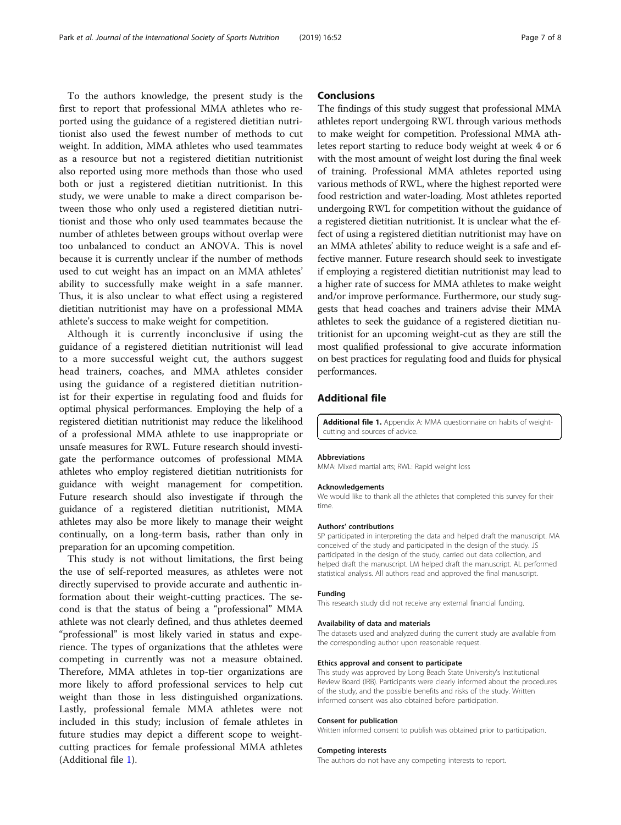To the authors knowledge, the present study is the first to report that professional MMA athletes who reported using the guidance of a registered dietitian nutritionist also used the fewest number of methods to cut weight. In addition, MMA athletes who used teammates as a resource but not a registered dietitian nutritionist also reported using more methods than those who used both or just a registered dietitian nutritionist. In this study, we were unable to make a direct comparison between those who only used a registered dietitian nutritionist and those who only used teammates because the number of athletes between groups without overlap were too unbalanced to conduct an ANOVA. This is novel because it is currently unclear if the number of methods used to cut weight has an impact on an MMA athletes' ability to successfully make weight in a safe manner. Thus, it is also unclear to what effect using a registered dietitian nutritionist may have on a professional MMA athlete's success to make weight for competition.

Although it is currently inconclusive if using the guidance of a registered dietitian nutritionist will lead to a more successful weight cut, the authors suggest head trainers, coaches, and MMA athletes consider using the guidance of a registered dietitian nutritionist for their expertise in regulating food and fluids for optimal physical performances. Employing the help of a registered dietitian nutritionist may reduce the likelihood of a professional MMA athlete to use inappropriate or unsafe measures for RWL. Future research should investigate the performance outcomes of professional MMA athletes who employ registered dietitian nutritionists for guidance with weight management for competition. Future research should also investigate if through the guidance of a registered dietitian nutritionist, MMA athletes may also be more likely to manage their weight continually, on a long-term basis, rather than only in preparation for an upcoming competition.

This study is not without limitations, the first being the use of self-reported measures, as athletes were not directly supervised to provide accurate and authentic information about their weight-cutting practices. The second is that the status of being a "professional" MMA athlete was not clearly defined, and thus athletes deemed "professional" is most likely varied in status and experience. The types of organizations that the athletes were competing in currently was not a measure obtained. Therefore, MMA athletes in top-tier organizations are more likely to afford professional services to help cut weight than those in less distinguished organizations. Lastly, professional female MMA athletes were not included in this study; inclusion of female athletes in future studies may depict a different scope to weightcutting practices for female professional MMA athletes (Additional file 1).

## **Conclusions**

The findings of this study suggest that professional MMA athletes report undergoing RWL through various methods to make weight for competition. Professional MMA athletes report starting to reduce body weight at week 4 or 6 with the most amount of weight lost during the final week of training. Professional MMA athletes reported using various methods of RWL, where the highest reported were food restriction and water-loading. Most athletes reported undergoing RWL for competition without the guidance of a registered dietitian nutritionist. It is unclear what the effect of using a registered dietitian nutritionist may have on an MMA athletes' ability to reduce weight is a safe and effective manner. Future research should seek to investigate if employing a registered dietitian nutritionist may lead to a higher rate of success for MMA athletes to make weight and/or improve performance. Furthermore, our study suggests that head coaches and trainers advise their MMA athletes to seek the guidance of a registered dietitian nutritionist for an upcoming weight-cut as they are still the most qualified professional to give accurate information on best practices for regulating food and fluids for physical performances.

## Additional file

Additional file 1. Appendix A: MMA questionnaire on habits of weightcutting and sources of advice.

#### Abbreviations

MMA: Mixed martial arts; RWL: Rapid weight loss

#### Acknowledgements

We would like to thank all the athletes that completed this survey for their time.

#### Authors' contributions

SP participated in interpreting the data and helped draft the manuscript. MA conceived of the study and participated in the design of the study. JS participated in the design of the study, carried out data collection, and helped draft the manuscript. LM helped draft the manuscript. AL performed statistical analysis. All authors read and approved the final manuscript.

#### Funding

This research study did not receive any external financial funding.

#### Availability of data and materials

The datasets used and analyzed during the current study are available from the corresponding author upon reasonable request.

#### Ethics approval and consent to participate

This study was approved by Long Beach State University's Institutional Review Board (IRB). Participants were clearly informed about the procedures of the study, and the possible benefits and risks of the study. Written informed consent was also obtained before participation.

#### Consent for publication

Written informed consent to publish was obtained prior to participation.

#### Competing interests

The authors do not have any competing interests to report.